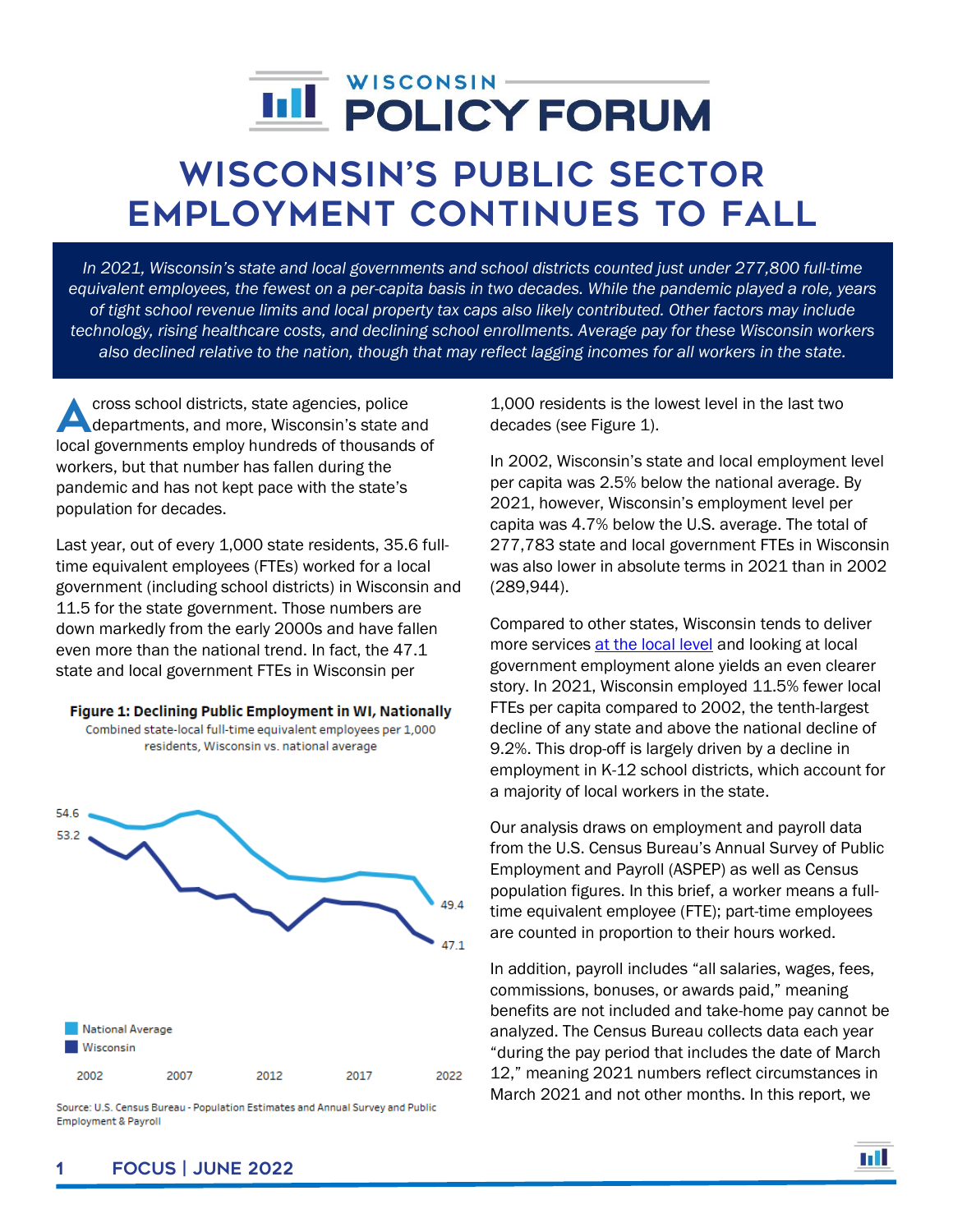## WISCONSIN-**III POLICY FORUM**

# Wisconsin's public sector Employment Continues to Fall

*In 2021, Wisconsin's state and local governments and school districts counted just under 277,800 full-time equivalent employees, the fewest on a per-capita basis in two decades. While the pandemic played a role, years of tight school revenue limits and local property tax caps also likely contributed. Other factors may include technology, rising healthcare costs, and declining school enrollments. Average pay for these Wisconsin workers also declined relative to the nation, though that may reflect lagging incomes for all workers in the state.*

cross school districts, state agencies, police departments, and more, Wisconsin's state and cross school districts, state agencies, police<br>departments, and more, Wisconsin's state and<br>local governments employ hundreds of thousands of workers, but that number has fallen during the pandemic and has not kept pace with the state's population for decades.

Last year, out of every 1,000 state residents, 35.6 fulltime equivalent employees (FTEs) worked for a local government (including school districts) in Wisconsin and 11.5 for the state government. Those numbers are down markedly from the early 2000s and have fallen even more than the national trend. In fact, the 47.1 state and local government FTEs in Wisconsin per

#### Figure 1: Declining Public Employment in WI, Nationally

Combined state-local full-time equivalent employees per 1,000 residents, Wisconsin vs. national average



Source: U.S. Census Bureau - Population Estimates and Annual Survey and Public **Employment & Payroll** 

1,000 residents is the lowest level in the last two decades (see Figure 1).

In 2002, Wisconsin's state and local employment level per capita was 2.5% below the national average. By 2021, however, Wisconsin's employment level per capita was 4.7% below the U.S. average. The total of 277,783 state and local government FTEs in Wisconsin was also lower in absolute terms in 2021 than in 2002 (289,944).

Compared to other states, Wisconsin tends to deliver more services at [the local level](https://wispolicyforum.org/research/dollar-for-dollar-where-does-wisconsin-rank-in-local-government-spending/) and looking at local government employment alone yields an even clearer story. In 2021, Wisconsin employed 11.5% fewer local FTEs per capita compared to 2002, the tenth-largest decline of any state and above the national decline of 9.2%. This drop-off is largely driven by a decline in employment in K-12 school districts, which account for a majority of local workers in the state.

Our analysis draws on employment and payroll data from the U.S. Census Bureau's Annual Survey of Public Employment and Payroll (ASPEP) as well as Census population figures. In this brief, a worker means a fulltime equivalent employee (FTE); part-time employees are counted in proportion to their hours worked.

In addition, payroll includes "all salaries, wages, fees, commissions, bonuses, or awards paid," meaning benefits are not included and take-home pay cannot be analyzed. The Census Bureau collects data each year "during the pay period that includes the date of March 12," meaning 2021 numbers reflect circumstances in March 2021 and not other months. In this report, we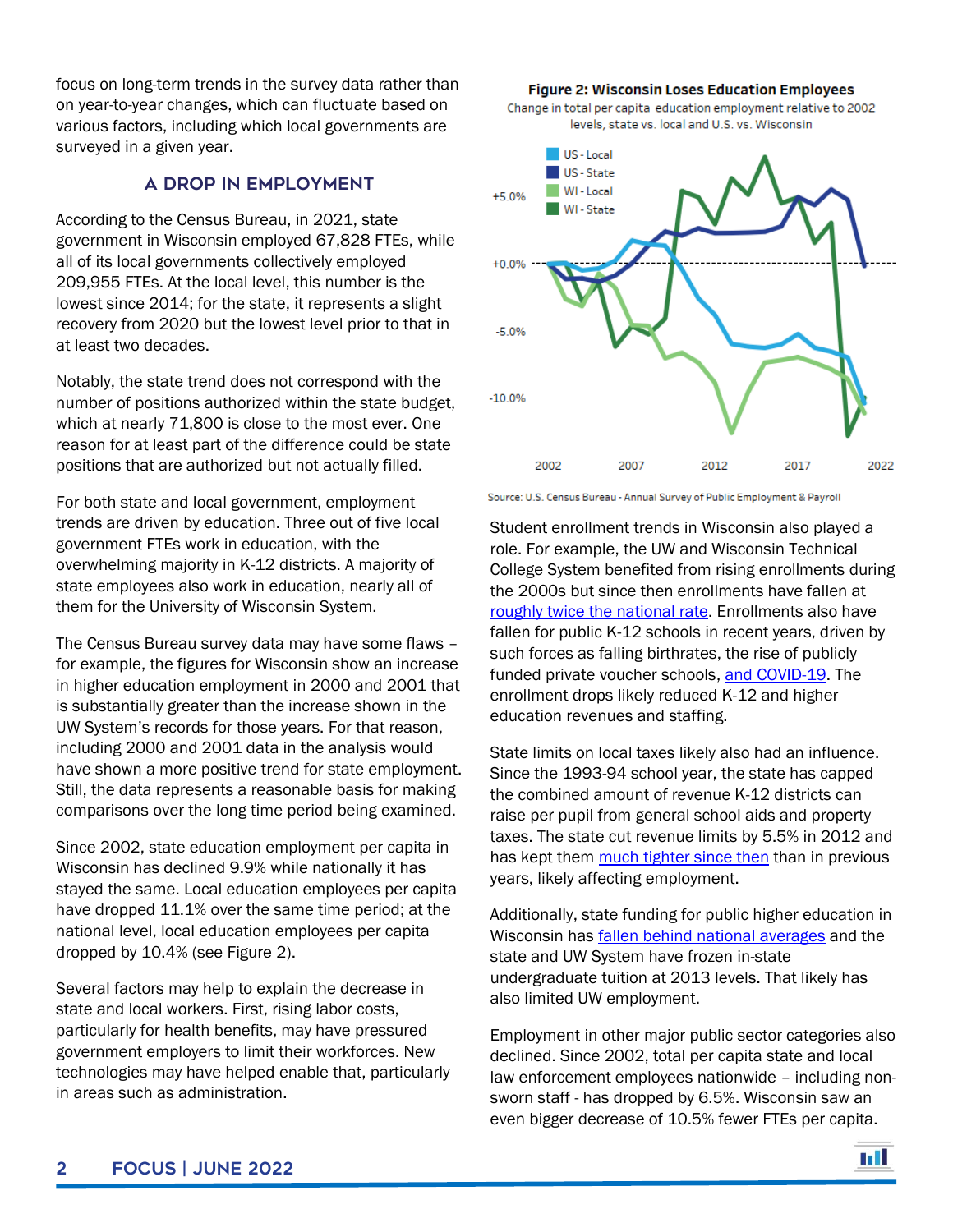focus on long-term trends in the survey data rather than on year-to-year changes, which can fluctuate based on various factors, including which local governments are surveyed in a given year.

#### A Drop in Employment

According to the Census Bureau, in 2021, state government in Wisconsin employed 67,828 FTEs, while all of its local governments collectively employed 209,955 FTEs. At the local level, this number is the lowest since 2014; for the state, it represents a slight recovery from 2020 but the lowest level prior to that in at least two decades.

Notably, the state trend does not correspond with the number of positions authorized within the state budget, which at nearly 71,800 is close to the most ever. One reason for at least part of the difference could be state positions that are authorized but not actually filled.

For both state and local government, employment trends are driven by education. Three out of five local government FTEs work in education, with the overwhelming majority in K-12 districts. A majority of state employees also work in education, nearly all of them for the University of Wisconsin System.

The Census Bureau survey data may have some flaws – for example, the figures for Wisconsin show an increase in higher education employment in 2000 and 2001 that is substantially greater than the increase shown in the UW System's records for those years. For that reason, including 2000 and 2001 data in the analysis would have shown a more positive trend for state employment. Still, the data represents a reasonable basis for making comparisons over the long time period being examined.

Since 2002, state education employment per capita in Wisconsin has declined 9.9% while nationally it has stayed the same. Local education employees per capita have dropped 11.1% over the same time period; at the national level, local education employees per capita dropped by 10.4% (see Figure 2).

Several factors may help to explain the decrease in state and local workers. First, rising labor costs, particularly for health benefits, may have pressured government employers to limit their workforces. New technologies may have helped enable that, particularly in areas such as administration.

**Figure 2: Wisconsin Loses Education Employees** Change in total per capita education employment relative to 2002 levels, state vs. local and U.S. vs. Wisconsin



Source: U.S. Census Bureau - Annual Survey of Public Employment & Payroll

Student enrollment trends in Wisconsin also played a role. For example, the UW and Wisconsin Technical College System benefited from rising enrollments during the 2000s but since then enrollments have fallen at [roughly twice the national rate.](https://wispolicyforum.org/research/falling-behind-the-state-of-wisconsins-public-universities-and-colleges/) Enrollments also have fallen for public K-12 schools in recent years, driven by such forces as falling birthrates, the rise of publicly funded private voucher schools[, and COVID-19.](https://wispolicyforum.org/research/private-school-enrollment-fell-during-pandemic-homeschool-virtual-charters-grew/) The enrollment drops likely reduced K-12 and higher education revenues and staffing.

State limits on local taxes likely also had an influence. Since the 1993-94 school year, the state has capped the combined amount of revenue K-12 districts can raise per pupil from general school aids and property taxes. The state cut revenue limits by 5.5% in 2012 and has kept them [much tighter](https://wispolicyforum.org/research/uncharted-waters-wisconsins-school-budget-climate-and-the-states-two-largest-districts/) since then than in previous years, likely affecting employment.

Additionally, state funding for public higher education in Wisconsin has [fallen behind national averages](https://wispolicyforum.org/research/falling-behind-the-state-of-wisconsins-public-universities-and-colleges/) and the state and UW System have frozen in-state undergraduate tuition at 2013 levels. That likely has also limited UW employment.

Employment in other major public sector categories also declined. Since 2002, total per capita state and local law enforcement employees nationwide – including nonsworn staff - has dropped by 6.5%. Wisconsin saw an even bigger decrease of 10.5% fewer FTEs per capita.